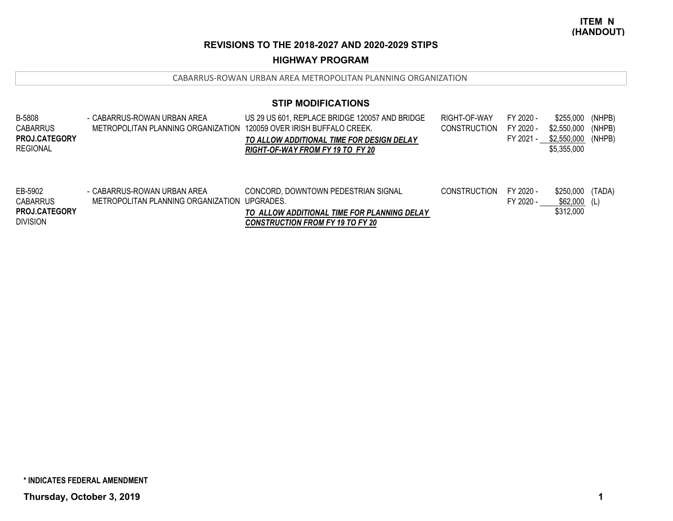## **HIGHWAY PROGRAM**

CABARRUS‐ROWAN URBAN AREA METROPOLITAN PLANNING ORGANIZATION

| <b>B-5808</b><br><b>CABARRUS</b><br><b>PROJ.CATEGORY</b><br><b>REGIONAL</b> | - CABARRUS-ROWAN URBAN AREA<br>METROPOLITAN PLANNING ORGANIZATION | US 29 US 601, REPLACE BRIDGE 120057 AND BRIDGE<br>120059 OVER IRISH BUFFALO CREEK.<br>TO ALLOW ADDITIONAL TIME FOR DESIGN DELAY<br>RIGHT-OF-WAY FROM FY 19 TO FY 20 | RIGHT-OF-WAY<br><b>CONSTRUCTION</b> | FY 2020 -<br>FY 2020 -<br>FY 2021 - | \$255,000 (NHPB)<br>\$2.550.000<br>\$2,550,000<br>\$5,355,000 | (NHPB)<br>(NHPB) |
|-----------------------------------------------------------------------------|-------------------------------------------------------------------|---------------------------------------------------------------------------------------------------------------------------------------------------------------------|-------------------------------------|-------------------------------------|---------------------------------------------------------------|------------------|
| EB-5902<br>CABARRUS                                                         | - CABARRUS-ROWAN URBAN AREA<br>METROPOLITAN PLANNING ORGANIZATION | CONCORD, DOWNTOWN PEDESTRIAN SIGNAL<br>UPGRADES.                                                                                                                    | <b>CONSTRUCTION</b>                 | FY 2020 -<br>FY 2020 -              | \$250,000<br>$$62.000$ (L)                                    | (TADA)           |

| <b>CABARRUS</b>      | METROPOLITAN PLANNING ORGANIZATION UPGRADES. |                                             | SY 2020 - | \$62,000  | (L) |
|----------------------|----------------------------------------------|---------------------------------------------|-----------|-----------|-----|
| <b>PROJ.CATEGORY</b> |                                              | TO ALLOW ADDITIONAL TIME FOR PLANNING DELAY |           | \$312,000 |     |
| <b>DIVISION</b>      |                                              | <b>CONSTRUCTION FROM FY 19 TO FY 20</b>     |           |           |     |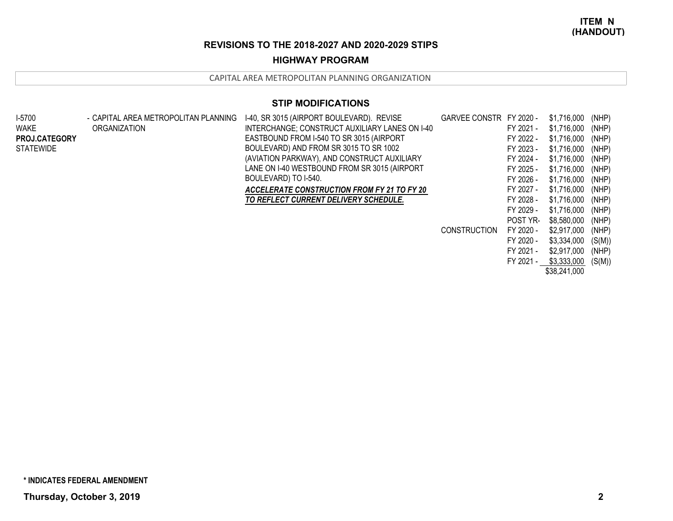# **HIGHWAY PROGRAM**

CAPITAL AREA METROPOLITAN PLANNING ORGANIZATION

| I-5700           | - CAPITAL AREA METROPOLITAN PLANNING | I-40, SR 3015 (AIRPORT BOULEVARD). REVISE      | GARVEE CONSTR FY 2020 - |                 | \$1,716,000  | (NHP)  |
|------------------|--------------------------------------|------------------------------------------------|-------------------------|-----------------|--------------|--------|
| <b>WAKE</b>      | ORGANIZATION                         | INTERCHANGE; CONSTRUCT AUXILIARY LANES ON I-40 |                         | FY 2021 -       | \$1,716,000  | (NHP)  |
| PROJ.CATEGORY    |                                      | EASTBOUND FROM I-540 TO SR 3015 (AIRPORT       |                         | FY 2022 -       | \$1,716,000  | (NHP)  |
| <b>STATEWIDE</b> |                                      | BOULEVARD) AND FROM SR 3015 TO SR 1002         |                         | FY 2023 -       | \$1,716,000  | (NHP)  |
|                  |                                      | (AVIATION PARKWAY), AND CONSTRUCT AUXILIARY    |                         | FY 2024 -       | \$1,716,000  | (NHP)  |
|                  |                                      | LANE ON 1-40 WESTBOUND FROM SR 3015 (AIRPORT   |                         | FY 2025 -       | \$1,716,000  | (NHP)  |
|                  |                                      | BOULEVARD) TO I-540.                           |                         | FY 2026 -       | \$1,716,000  | (NHP)  |
|                  |                                      | ACCELERATE CONSTRUCTION FROM FY 21 TO FY 20    |                         | FY 2027 -       | \$1,716,000  | (NHP)  |
|                  |                                      | TO REFLECT CURRENT DELIVERY SCHEDULE.          |                         | FY 2028 -       | \$1,716,000  | (NHP)  |
|                  |                                      |                                                |                         | FY 2029 -       | \$1,716,000  | (NHP)  |
|                  |                                      |                                                |                         | <b>POST YR-</b> | \$8,580,000  | (NHP)  |
|                  |                                      |                                                | <b>CONSTRUCTION</b>     | FY 2020 -       | \$2,917,000  | (NHP)  |
|                  |                                      |                                                |                         | FY 2020 -       | \$3,334,000  | (S(M)) |
|                  |                                      |                                                |                         | FY 2021 -       | \$2,917,000  | (NHP)  |
|                  |                                      |                                                |                         | FY 2021 -       | \$3,333,000  | (S(M)) |
|                  |                                      |                                                |                         |                 | \$38,241,000 |        |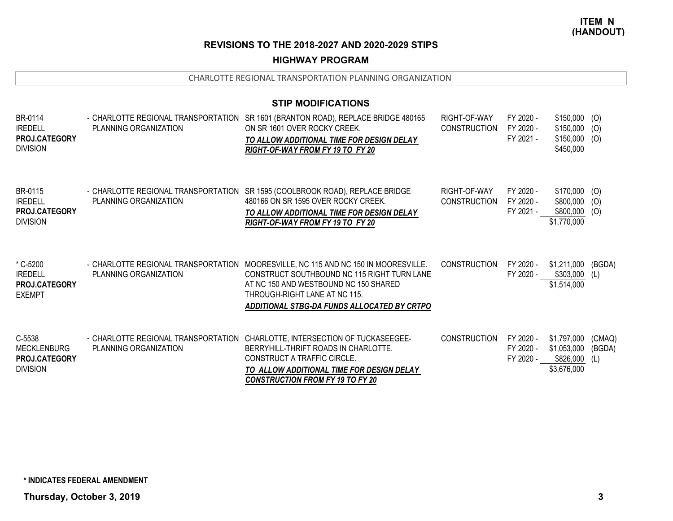## **HIGHWAY PROGRAM**

|                                                                         |                                                              | <b>STIP MODIFICATIONS</b>                                                                                                                                                                                                                  |                                     |                                     |                                                         |                         |
|-------------------------------------------------------------------------|--------------------------------------------------------------|--------------------------------------------------------------------------------------------------------------------------------------------------------------------------------------------------------------------------------------------|-------------------------------------|-------------------------------------|---------------------------------------------------------|-------------------------|
| BR-0114<br><b>IREDELL</b><br>PROJ.CATEGORY<br><b>DIVISION</b>           | - CHARLOTTE REGIONAL TRANSPORTATION<br>PLANNING ORGANIZATION | SR 1601 (BRANTON ROAD), REPLACE BRIDGE 480165<br>ON SR 1601 OVER ROCKY CREEK.<br>TO ALLOW ADDITIONAL TIME FOR DESIGN DELAY<br>RIGHT-OF-WAY FROM FY 19 TO FY 20                                                                             | RIGHT-OF-WAY<br><b>CONSTRUCTION</b> | FY 2020 -<br>FY 2020 -<br>FY 2021 - | \$150,000<br>\$150,000<br>\$150,000<br>\$450,000        | (0)<br>(O)<br>(O)       |
| BR-0115<br><b>IREDELL</b><br><b>PROJ.CATEGORY</b><br><b>DIVISION</b>    | PLANNING ORGANIZATION                                        | - CHARLOTTE REGIONAL TRANSPORTATION SR 1595 (COOLBROOK ROAD), REPLACE BRIDGE<br>480166 ON SR 1595 OVER ROCKY CREEK.<br>TO ALLOW ADDITIONAL TIME FOR DESIGN DELAY<br>RIGHT-OF-WAY FROM FY 19 TO FY 20                                       | RIGHT-OF-WAY<br><b>CONSTRUCTION</b> | FY 2020 -<br>FY 2020 -<br>FY 2021 - | $$170,000$ (O)<br>\$800,000<br>\$800,000<br>\$1,770,000 | (O)<br>(O)              |
| * C-5200<br><b>IREDELL</b><br><b>PROJ.CATEGORY</b><br><b>EXEMPT</b>     | - CHARLOTTE REGIONAL TRANSPORTATION<br>PLANNING ORGANIZATION | MOORESVILLE, NC 115 AND NC 150 IN MOORESVILLE.<br>CONSTRUCT SOUTHBOUND NC 115 RIGHT TURN LANE<br>AT NC 150 AND WESTBOUND NC 150 SHARED<br>THROUGH-RIGHT LANE AT NC 115.<br>ADDITIONAL STBG-DA FUNDS ALLOCATED BY CRTPO                     | <b>CONSTRUCTION</b>                 | FY 2020 -<br>FY 2020 -              | \$1,211,000<br>\$303,000<br>\$1,514,000                 | (BGDA)<br>(L)           |
| C-5538<br><b>MECKLENBURG</b><br><b>PROJ.CATEGORY</b><br><b>DIVISION</b> | PLANNING ORGANIZATION                                        | - CHARLOTTE REGIONAL TRANSPORTATION CHARLOTTE, INTERSECTION OF TUCKASEEGEE-<br>BERRYHILL-THRIFT ROADS IN CHARLOTTE.<br>CONSTRUCT A TRAFFIC CIRCLE.<br>TO ALLOW ADDITIONAL TIME FOR DESIGN DELAY<br><b>CONSTRUCTION FROM FY 19 TO FY 20</b> | <b>CONSTRUCTION</b>                 | FY 2020 -<br>FY 2020 -<br>FY 2020 - | \$1,797,000<br>\$1,053,000<br>\$826,000<br>\$3,676,000  | (CMAQ)<br>(BGDA)<br>(L) |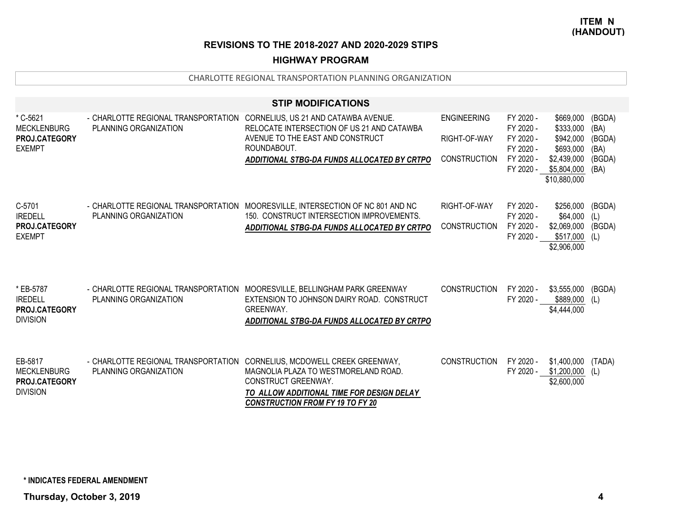### **HIGHWAY PROGRAM**

|                                                                   |                                                                                                   | <b>STIP MODIFICATIONS</b>                                                                                                                                                                                                      |                                                           |                                                                            |                                                                                                |                                                    |
|-------------------------------------------------------------------|---------------------------------------------------------------------------------------------------|--------------------------------------------------------------------------------------------------------------------------------------------------------------------------------------------------------------------------------|-----------------------------------------------------------|----------------------------------------------------------------------------|------------------------------------------------------------------------------------------------|----------------------------------------------------|
| * C-5621<br><b>MECKLENBURG</b><br>PROJ.CATEGORY<br><b>EXEMPT</b>  | - CHARLOTTE REGIONAL TRANSPORTATION CORNELIUS, US 21 AND CATAWBA AVENUE.<br>PLANNING ORGANIZATION | RELOCATE INTERSECTION OF US 21 AND CATAWBA<br>AVENUE TO THE EAST AND CONSTRUCT<br>ROUNDABOUT.<br>ADDITIONAL STBG-DA FUNDS ALLOCATED BY CRTPO                                                                                   | <b>ENGINEERING</b><br>RIGHT-OF-WAY<br><b>CONSTRUCTION</b> | FY 2020 -<br>FY 2020 -<br>FY 2020 -<br>FY 2020 -<br>FY 2020 -<br>FY 2020 - | \$669,000<br>\$333,000<br>\$942,000<br>\$693,000<br>\$2,439,000<br>\$5,804,000<br>\$10,880,000 | (BGDA)<br>(BA)<br>(BGDA)<br>(BA)<br>(BGDA)<br>(BA) |
| C-5701<br><b>IREDELL</b><br>PROJ.CATEGORY<br><b>EXEMPT</b>        | PLANNING ORGANIZATION                                                                             | - CHARLOTTE REGIONAL TRANSPORTATION MOORESVILLE, INTERSECTION OF NC 801 AND NC<br>150. CONSTRUCT INTERSECTION IMPROVEMENTS.<br>ADDITIONAL STBG-DA FUNDS ALLOCATED BY CRTPO                                                     | RIGHT-OF-WAY<br>CONSTRUCTION                              | FY 2020 -<br>FY 2020 -<br>FY 2020 -<br>FY 2020 -                           | \$256,000<br>\$64,000<br>\$2,069,000<br>\$517,000<br>\$2,906,000                               | (BGDA)<br>(L)<br>(BGDA)<br>(L)                     |
| * EB-5787<br><b>IREDELL</b><br>PROJ.CATEGORY<br><b>DIVISION</b>   | PLANNING ORGANIZATION                                                                             | - CHARLOTTE REGIONAL TRANSPORTATION MOORESVILLE, BELLINGHAM PARK GREENWAY<br>EXTENSION TO JOHNSON DAIRY ROAD. CONSTRUCT<br><b>GREENWAY.</b><br>ADDITIONAL STBG-DA FUNDS ALLOCATED BY CRTPO                                     | <b>CONSTRUCTION</b>                                       | FY 2020 -<br>FY 2020 -                                                     | \$3,555,000<br>\$889,000<br>\$4,444,000                                                        | (BGDA)<br>(L)                                      |
| EB-5817<br><b>MECKLENBURG</b><br>PROJ.CATEGORY<br><b>DIVISION</b> | PLANNING ORGANIZATION                                                                             | - CHARLOTTE REGIONAL TRANSPORTATION CORNELIUS, MCDOWELL CREEK GREENWAY,<br>MAGNOLIA PLAZA TO WESTMORELAND ROAD.<br>CONSTRUCT GREENWAY.<br>TO ALLOW ADDITIONAL TIME FOR DESIGN DELAY<br><b>CONSTRUCTION FROM FY 19 TO FY 20</b> | <b>CONSTRUCTION</b>                                       | FY 2020 -<br>FY 2020 -                                                     | \$1,400,000<br>\$1,200,000<br>\$2,600,000                                                      | (TADA)<br>(L)                                      |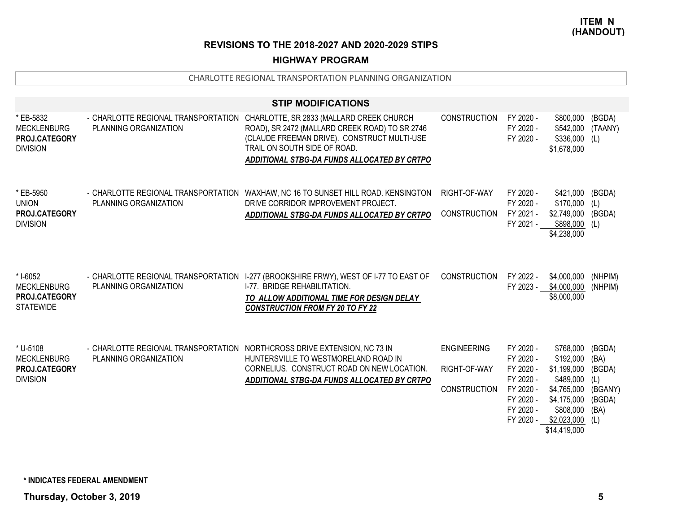## **HIGHWAY PROGRAM**

|                                                                            |                                                                                                   | <b>STIP MODIFICATIONS</b>                                                                                                                                                                                                |                                                           |                                                                                                      |                                                                                                                                   |                                                              |
|----------------------------------------------------------------------------|---------------------------------------------------------------------------------------------------|--------------------------------------------------------------------------------------------------------------------------------------------------------------------------------------------------------------------------|-----------------------------------------------------------|------------------------------------------------------------------------------------------------------|-----------------------------------------------------------------------------------------------------------------------------------|--------------------------------------------------------------|
| * EB-5832<br><b>MECKLENBURG</b><br>PROJ.CATEGORY<br><b>DIVISION</b>        | - CHARLOTTE REGIONAL TRANSPORTATION<br>PLANNING ORGANIZATION                                      | CHARLOTTE, SR 2833 (MALLARD CREEK CHURCH<br>ROAD), SR 2472 (MALLARD CREEK ROAD) TO SR 2746<br>(CLAUDE FREEMAN DRIVE). CONSTRUCT MULTI-USE<br>TRAIL ON SOUTH SIDE OF ROAD.<br>ADDITIONAL STBG-DA FUNDS ALLOCATED BY CRTPO | <b>CONSTRUCTION</b>                                       | FY 2020 -<br>FY 2020 -<br>FY 2020 -                                                                  | \$800,000<br>\$542,000 (TAANY)<br>$$336,000$ (L)<br>\$1,678,000                                                                   | (BGDA)                                                       |
| * EB-5950<br><b>UNION</b><br>PROJ.CATEGORY<br><b>DIVISION</b>              | PLANNING ORGANIZATION                                                                             | - CHARLOTTE REGIONAL TRANSPORTATION WAXHAW, NC 16 TO SUNSET HILL ROAD. KENSINGTON<br>DRIVE CORRIDOR IMPROVEMENT PROJECT.<br>ADDITIONAL STBG-DA FUNDS ALLOCATED BY CRTPO                                                  | RIGHT-OF-WAY<br><b>CONSTRUCTION</b>                       | FY 2020 -<br>FY 2020 -<br>FY 2021 -<br>FY 2021 -                                                     | \$421,000<br>\$170,000<br>\$2,749,000 (BGDA)<br>\$898,000 (L)<br>\$4,238,000                                                      | (BGDA)<br>(L)                                                |
| * I-6052<br><b>MECKLENBURG</b><br><b>PROJ.CATEGORY</b><br><b>STATEWIDE</b> | - CHARLOTTE REGIONAL TRANSPORTATION<br>PLANNING ORGANIZATION                                      | I-277 (BROOKSHIRE FRWY), WEST OF I-77 TO EAST OF<br>I-77. BRIDGE REHABILITATION.<br>TO ALLOW ADDITIONAL TIME FOR DESIGN DELAY<br><b>CONSTRUCTION FROM FY 20 TO FY 22</b>                                                 | <b>CONSTRUCTION</b>                                       | FY 2022 -<br>FY 2023 -                                                                               | \$4,000,000<br>\$4,000,000<br>\$8,000,000                                                                                         | (NHPIM)<br>(NHPIM)                                           |
| * U-5108<br><b>MECKLENBURG</b><br>PROJ.CATEGORY<br><b>DIVISION</b>         | - CHARLOTTE REGIONAL TRANSPORTATION NORTHCROSS DRIVE EXTENSION, NC 73 IN<br>PLANNING ORGANIZATION | HUNTERSVILLE TO WESTMORELAND ROAD IN<br>CORNELIUS. CONSTRUCT ROAD ON NEW LOCATION.<br>ADDITIONAL STBG-DA FUNDS ALLOCATED BY CRTPO                                                                                        | <b>ENGINEERING</b><br>RIGHT-OF-WAY<br><b>CONSTRUCTION</b> | FY 2020 -<br>FY 2020 -<br>FY 2020 -<br>FY 2020 -<br>FY 2020 -<br>FY 2020 -<br>FY 2020 -<br>FY 2020 - | \$768,000<br>\$192,000<br>\$1,199,000<br>\$489,000<br>\$4,765,000<br>\$4,175,000<br>\$808,000<br>$$2,023,000$ (L)<br>\$14,419,000 | (BGDA)<br>(BA)<br>(BGDA)<br>(L)<br>(BGANY)<br>(BGDA)<br>(BA) |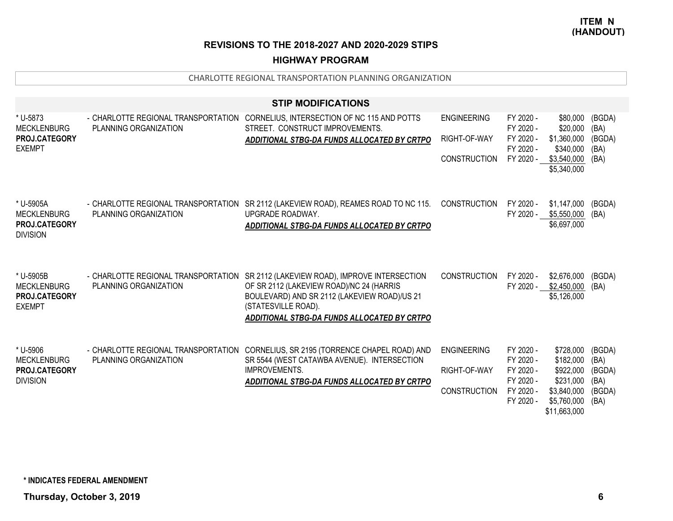## **HIGHWAY PROGRAM**

|                                            |                                                              | <b>STIP MODIFICATIONS</b>                                                                    |                     |                        |                             |                |
|--------------------------------------------|--------------------------------------------------------------|----------------------------------------------------------------------------------------------|---------------------|------------------------|-----------------------------|----------------|
| * U-5873<br><b>MECKLENBURG</b>             | - CHARLOTTE REGIONAL TRANSPORTATION<br>PLANNING ORGANIZATION | CORNELIUS, INTERSECTION OF NC 115 AND POTTS<br>STREET. CONSTRUCT IMPROVEMENTS.               | <b>ENGINEERING</b>  | FY 2020 -<br>FY 2020 - | \$80,000<br>\$20,000        | (BGDA)<br>(BA) |
| PROJ.CATEGORY<br><b>EXEMPT</b>             |                                                              | ADDITIONAL STBG-DA FUNDS ALLOCATED BY CRTPO                                                  | RIGHT-OF-WAY        | FY 2020 -<br>FY 2020 - | \$1,360,000<br>\$340,000    | (BGDA)<br>(BA) |
|                                            |                                                              |                                                                                              | <b>CONSTRUCTION</b> | FY 2020 -              | \$3,540,000<br>\$5,340,000  | (BA)           |
| * U-5905A                                  | - CHARLOTTE REGIONAL TRANSPORTATION                          | SR 2112 (LAKEVIEW ROAD), REAMES ROAD TO NC 115.                                              | <b>CONSTRUCTION</b> | FY 2020 -              | \$1,147,000                 | (BGDA)         |
| <b>MECKLENBURG</b><br><b>PROJ.CATEGORY</b> | PLANNING ORGANIZATION                                        | UPGRADE ROADWAY.<br>ADDITIONAL STBG-DA FUNDS ALLOCATED BY CRTPO                              |                     | FY 2020 -              | \$5,550,000<br>\$6,697,000  | (BA)           |
| <b>DIVISION</b>                            |                                                              |                                                                                              |                     |                        |                             |                |
| * U-5905B                                  | - CHARLOTTE REGIONAL TRANSPORTATION                          | SR 2112 (LAKEVIEW ROAD), IMPROVE INTERSECTION                                                | <b>CONSTRUCTION</b> | FY 2020 -              | \$2,676,000                 | (BGDA)         |
| <b>MECKLENBURG</b><br><b>PROJ.CATEGORY</b> | PLANNING ORGANIZATION                                        | OF SR 2112 (LAKEVIEW ROAD)/NC 24 (HARRIS<br>BOULEVARD) AND SR 2112 (LAKEVIEW ROAD)/US 21     |                     | FY 2020 -              | \$2,450,000<br>\$5,126,000  | (BA)           |
| <b>EXEMPT</b>                              |                                                              | (STATESVILLE ROAD).<br>ADDITIONAL STBG-DA FUNDS ALLOCATED BY CRTPO                           |                     |                        |                             |                |
|                                            |                                                              |                                                                                              |                     |                        |                             |                |
| * U-5906<br><b>MECKLENBURG</b>             | - CHARLOTTE REGIONAL TRANSPORTATION<br>PLANNING ORGANIZATION | CORNELIUS, SR 2195 (TORRENCE CHAPEL ROAD) AND<br>SR 5544 (WEST CATAWBA AVENUE). INTERSECTION | <b>ENGINEERING</b>  | FY 2020 -<br>FY 2020 - | \$728,000<br>\$182,000      | (BGDA)<br>(BA) |
| <b>PROJ.CATEGORY</b><br><b>DIVISION</b>    |                                                              | <b>IMPROVEMENTS.</b>                                                                         | RIGHT-OF-WAY        | FY 2020 -<br>FY 2020 - | \$922,000<br>\$231,000      | (BGDA)<br>(BA) |
|                                            |                                                              | ADDITIONAL STBG-DA FUNDS ALLOCATED BY CRTPO                                                  | <b>CONSTRUCTION</b> | FY 2020 -              | \$3,840,000                 | (BGDA)         |
|                                            |                                                              |                                                                                              |                     | FY 2020 -              | \$5,760,000<br>\$11,663,000 | (BA)           |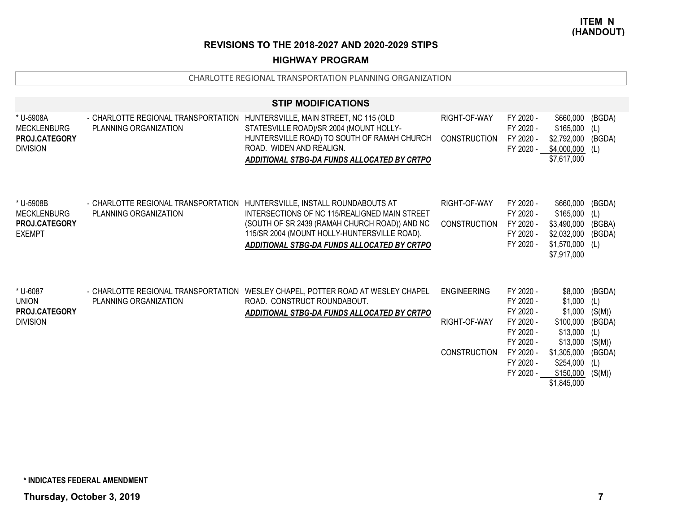# **HIGHWAY PROGRAM**

|                                                                          |                                                                                                     | <b>STIP MODIFICATIONS</b>                                                                                                                                                                                                             |                                                           |                                                                                                                   |                                                                                                                            |                                                                               |
|--------------------------------------------------------------------------|-----------------------------------------------------------------------------------------------------|---------------------------------------------------------------------------------------------------------------------------------------------------------------------------------------------------------------------------------------|-----------------------------------------------------------|-------------------------------------------------------------------------------------------------------------------|----------------------------------------------------------------------------------------------------------------------------|-------------------------------------------------------------------------------|
| * U-5908A<br><b>MECKLENBURG</b><br>PROJ.CATEGORY<br><b>DIVISION</b>      | - CHARLOTTE REGIONAL TRANSPORTATION HUNTERSVILLE, MAIN STREET, NC 115 (OLD<br>PLANNING ORGANIZATION | STATESVILLE ROAD)/SR 2004 (MOUNT HOLLY-<br>HUNTERSVILLE ROAD) TO SOUTH OF RAMAH CHURCH<br>ROAD. WIDEN AND REALIGN.<br>ADDITIONAL STBG-DA FUNDS ALLOCATED BY CRTPO                                                                     | RIGHT-OF-WAY<br><b>CONSTRUCTION</b>                       | FY 2020 -<br>FY 2020 -<br>FY 2020 -<br>FY 2020 -                                                                  | \$660,000<br>\$165,000<br>\$2,792,000<br>\$4,000,000<br>\$7,617,000                                                        | (BGDA)<br>(L)<br>(BGDA)<br>(L)                                                |
| * U-5908B<br><b>MECKLENBURG</b><br><b>PROJ.CATEGORY</b><br><b>EXEMPT</b> | - CHARLOTTE REGIONAL TRANSPORTATION<br>PLANNING ORGANIZATION                                        | HUNTERSVILLE, INSTALL ROUNDABOUTS AT<br>INTERSECTIONS OF NC 115/REALIGNED MAIN STREET<br>(SOUTH OF SR 2439 (RAMAH CHURCH ROAD)) AND NC<br>115/SR 2004 (MOUNT HOLLY-HUNTERSVILLE ROAD).<br>ADDITIONAL STBG-DA FUNDS ALLOCATED BY CRTPO | RIGHT-OF-WAY<br><b>CONSTRUCTION</b>                       | FY 2020 -<br>FY 2020 -<br>FY 2020 -<br>FY 2020 -                                                                  | \$660,000<br>\$165,000<br>\$3,490,000<br>\$2,032,000<br>FY 2020 - \$1,570,000<br>\$7,917,000                               | (BGDA)<br>(L)<br>(BGBA)<br>(BGDA)<br>(L)                                      |
| * U-6087<br><b>UNION</b><br><b>PROJ.CATEGORY</b><br><b>DIVISION</b>      | PLANNING ORGANIZATION                                                                               | - CHARLOTTE REGIONAL TRANSPORTATION WESLEY CHAPEL, POTTER ROAD AT WESLEY CHAPEL<br>ROAD. CONSTRUCT ROUNDABOUT.<br>ADDITIONAL STBG-DA FUNDS ALLOCATED BY CRTPO                                                                         | <b>ENGINEERING</b><br>RIGHT-OF-WAY<br><b>CONSTRUCTION</b> | FY 2020 -<br>FY 2020 -<br>FY 2020 -<br>FY 2020 -<br>FY 2020 -<br>FY 2020 -<br>FY 2020 -<br>FY 2020 -<br>FY 2020 - | \$8,000<br>\$1,000<br>\$1,000<br>\$100,000<br>\$13,000<br>\$13,000<br>\$1,305,000<br>\$254,000<br>\$150,000<br>\$1,845,000 | (BGDA)<br>(L)<br>(S(M))<br>(BGDA)<br>(L)<br>(S(M))<br>(BGDA)<br>(L)<br>(S(M)) |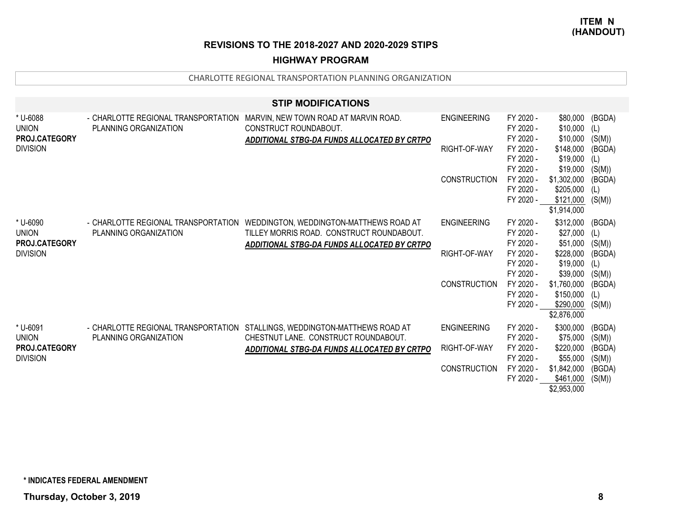### **HIGHWAY PROGRAM**

| <b>STIP MODIFICATIONS</b>                 |                                                              |                                                                                                                                                                         |                     |                                     |                                                      |                         |  |  |  |
|-------------------------------------------|--------------------------------------------------------------|-------------------------------------------------------------------------------------------------------------------------------------------------------------------------|---------------------|-------------------------------------|------------------------------------------------------|-------------------------|--|--|--|
| * U-6088<br><b>UNION</b><br>PROJ.CATEGORY | - CHARLOTTE REGIONAL TRANSPORTATION<br>PLANNING ORGANIZATION | MARVIN, NEW TOWN ROAD AT MARVIN ROAD.<br>CONSTRUCT ROUNDABOUT.<br>ADDITIONAL STBG-DA FUNDS ALLOCATED BY CRTPO                                                           | <b>ENGINEERING</b>  | FY 2020 -<br>FY 2020 -<br>FY 2020 - | \$80,000<br>\$10,000<br>\$10,000                     | (BGDA)<br>(L)<br>(S(M)) |  |  |  |
| <b>DIVISION</b>                           |                                                              |                                                                                                                                                                         | RIGHT-OF-WAY        | FY 2020 -<br>FY 2020 -<br>FY 2020 - | \$148,000<br>\$19,000<br>\$19,000                    | (BGDA)<br>(L)<br>(S(M)) |  |  |  |
|                                           |                                                              |                                                                                                                                                                         | <b>CONSTRUCTION</b> | FY 2020 -<br>FY 2020 -<br>FY 2020 - | \$1,302,000<br>\$205,000<br>\$121,000<br>\$1,914,000 | (BGDA)<br>(L)<br>(S(M)) |  |  |  |
| * U-6090<br><b>UNION</b><br>PROJ.CATEGORY | PLANNING ORGANIZATION                                        | - CHARLOTTE REGIONAL TRANSPORTATION WEDDINGTON, WEDDINGTON-MATTHEWS ROAD AT<br>TILLEY MORRIS ROAD. CONSTRUCT ROUNDABOUT.<br>ADDITIONAL STBG-DA FUNDS ALLOCATED BY CRTPO | <b>ENGINEERING</b>  | FY 2020 -<br>FY 2020 -<br>FY 2020 - | \$312,000<br>\$27,000<br>\$51,000                    | (BGDA)<br>(L)<br>(S(M)) |  |  |  |
| <b>DIVISION</b>                           |                                                              |                                                                                                                                                                         | RIGHT-OF-WAY        | FY 2020 -<br>FY 2020 -<br>FY 2020 - | \$228,000<br>\$19,000<br>\$39,000                    | (BGDA)<br>(L)<br>(S(M)) |  |  |  |
|                                           |                                                              |                                                                                                                                                                         | <b>CONSTRUCTION</b> | FY 2020 -<br>FY 2020 -<br>FY 2020 - | \$1,760,000<br>\$150,000<br>\$290,000<br>\$2,876,000 | (BGDA)<br>(L)<br>(S(M)) |  |  |  |
| * U-6091<br><b>UNION</b>                  | PLANNING ORGANIZATION                                        | - CHARLOTTE REGIONAL TRANSPORTATION STALLINGS, WEDDINGTON-MATTHEWS ROAD AT<br>CHESTNUT LANE. CONSTRUCT ROUNDABOUT.                                                      | <b>ENGINEERING</b>  | FY 2020 -<br>FY 2020 -              | \$300,000<br>\$75,000                                | (BGDA)<br>(S(M))        |  |  |  |
| PROJ.CATEGORY<br><b>DIVISION</b>          |                                                              | ADDITIONAL STBG-DA FUNDS ALLOCATED BY CRTPO                                                                                                                             | RIGHT-OF-WAY        | FY 2020 -<br>FY 2020 -              | \$220,000<br>\$55,000                                | (BGDA)<br>(S(M))        |  |  |  |
|                                           |                                                              |                                                                                                                                                                         | <b>CONSTRUCTION</b> | FY 2020 -<br>FY 2020 -              | \$1,842,000<br>\$461,000<br>\$2,953,000              | (BGDA)<br>(S(M))        |  |  |  |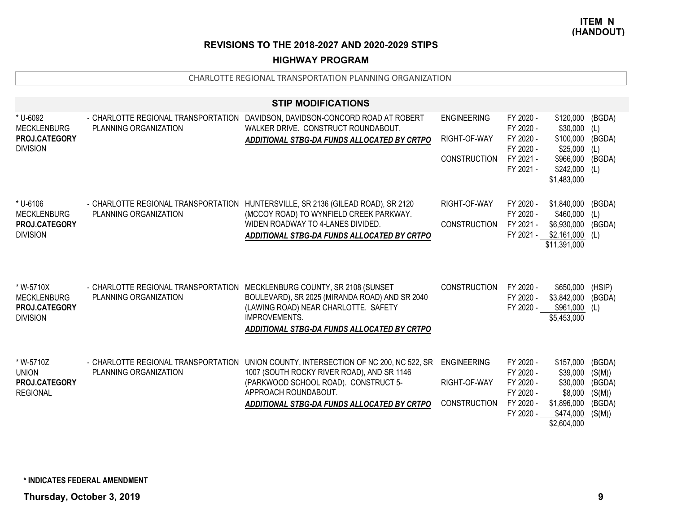## **HIGHWAY PROGRAM**

|                                                                            |                                                                                                  | <b>STIP MODIFICATIONS</b>                                                                                                                                                                                       |                                                           |                                                                            |                                                                                         |                                                          |
|----------------------------------------------------------------------------|--------------------------------------------------------------------------------------------------|-----------------------------------------------------------------------------------------------------------------------------------------------------------------------------------------------------------------|-----------------------------------------------------------|----------------------------------------------------------------------------|-----------------------------------------------------------------------------------------|----------------------------------------------------------|
| * U-6092<br><b>MECKLENBURG</b><br>PROJ.CATEGORY<br><b>DIVISION</b>         | - CHARLOTTE REGIONAL TRANSPORTATION<br>PLANNING ORGANIZATION                                     | DAVIDSON, DAVIDSON-CONCORD ROAD AT ROBERT<br>WALKER DRIVE. CONSTRUCT ROUNDABOUT.<br>ADDITIONAL STBG-DA FUNDS ALLOCATED BY CRTPO                                                                                 | <b>ENGINEERING</b><br>RIGHT-OF-WAY<br><b>CONSTRUCTION</b> | FY 2020 -<br>FY 2020 -<br>FY 2020 -<br>FY 2020 -<br>FY 2021 -<br>FY 2021 - | \$120,000<br>\$30,000<br>\$100,000<br>\$25,000<br>\$966,000<br>\$242,000<br>\$1,483,000 | (BGDA)<br>(L)<br>(BGDA)<br>(L)<br>(BGDA)<br>(L)          |
| * U-6106<br><b>MECKLENBURG</b><br><b>PROJ.CATEGORY</b><br><b>DIVISION</b>  | PLANNING ORGANIZATION                                                                            | - CHARLOTTE REGIONAL TRANSPORTATION HUNTERSVILLE, SR 2136 (GILEAD ROAD), SR 2120<br>(MCCOY ROAD) TO WYNFIELD CREEK PARKWAY.<br>WIDEN ROADWAY TO 4-LANES DIVIDED.<br>ADDITIONAL STBG-DA FUNDS ALLOCATED BY CRTPO | RIGHT-OF-WAY<br><b>CONSTRUCTION</b>                       | FY 2020 -<br>FY 2020 -<br>FY 2021 -<br>FY 2021 -                           | \$1,840,000<br>\$460,000<br>\$6,930,000<br>\$2,161,000<br>\$11,391,000                  | (BGDA)<br>(L)<br>(BGDA)<br>(L)                           |
| * W-5710X<br><b>MECKLENBURG</b><br><b>PROJ.CATEGORY</b><br><b>DIVISION</b> | - CHARLOTTE REGIONAL TRANSPORTATION MECKLENBURG COUNTY, SR 2108 (SUNSET<br>PLANNING ORGANIZATION | BOULEVARD), SR 2025 (MIRANDA ROAD) AND SR 2040<br>(LAWING ROAD) NEAR CHARLOTTE. SAFETY<br><b>IMPROVEMENTS.</b><br>ADDITIONAL STBG-DA FUNDS ALLOCATED BY CRTPO                                                   | <b>CONSTRUCTION</b>                                       | FY 2020 -<br>FY 2020 -<br>FY 2020 -                                        | \$650,000<br>\$3,842,000<br>\$961,000<br>\$5,453,000                                    | (HSIP)<br>(BGDA)<br>(L)                                  |
| * W-5710Z<br><b>UNION</b><br>PROJ.CATEGORY<br><b>REGIONAL</b>              | - CHARLOTTE REGIONAL TRANSPORTATION<br>PLANNING ORGANIZATION                                     | UNION COUNTY, INTERSECTION OF NC 200, NC 522, SR<br>1007 (SOUTH ROCKY RIVER ROAD), AND SR 1146<br>(PARKWOOD SCHOOL ROAD). CONSTRUCT 5-<br>APPROACH ROUNDABOUT.<br>ADDITIONAL STBG-DA FUNDS ALLOCATED BY CRTPO   | <b>ENGINEERING</b><br>RIGHT-OF-WAY<br>CONSTRUCTION        | FY 2020 -<br>FY 2020 -<br>FY 2020 -<br>FY 2020 -<br>FY 2020 -<br>FY 2020 - | \$157,000<br>\$39,000<br>\$30,000<br>\$8,000<br>\$1,896,000<br>\$474,000<br>\$2,604,000 | (BGDA)<br>(S(M))<br>(BGDA)<br>(S(M))<br>(BGDA)<br>(S(M)) |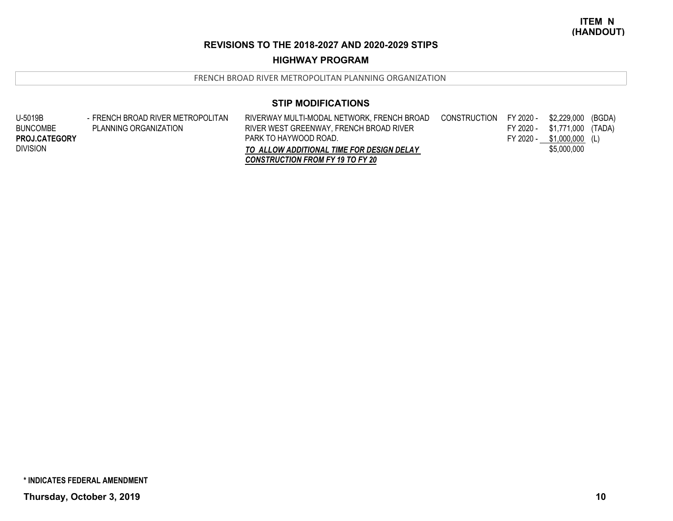# **HIGHWAY PROGRAM**

FRENCH BROAD RIVER METROPOLITAN PLANNING ORGANIZATION

| U-5019B         | - FRENCH BROAD RIVER METROPOLITAN | RIVERWAY MULTI-MODAL NETWORK, FRENCH BROAD | CONSTRUCTION FY 2020 - |           | \$2,229,000 (BGDA) |  |
|-----------------|-----------------------------------|--------------------------------------------|------------------------|-----------|--------------------|--|
| <b>BUNCOMBE</b> | PLANNING ORGANIZATION             | RIVER WEST GREENWAY, FRENCH BROAD RIVER    |                        | FY 2020 - | \$1,771,000 (TADA) |  |
| PROJ.CATEGORY   |                                   | PARK TO HAYWOOD ROAD.                      |                        | FY 2020 - | $$1,000,000$ (L)   |  |
| <b>DIVISION</b> |                                   | TO ALLOW ADDITIONAL TIME FOR DESIGN DELAY  |                        |           | \$5,000,000        |  |
|                 |                                   | <b>CONSTRUCTION FROM FY 19 TO FY 20</b>    |                        |           |                    |  |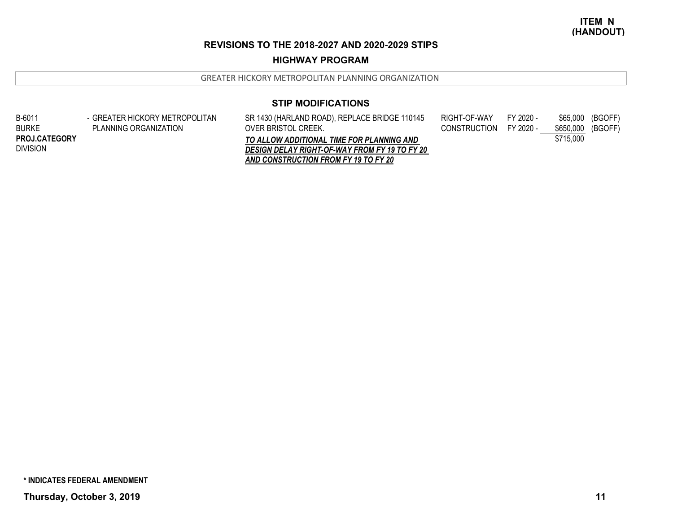# **HIGHWAY PROGRAM**

GREATER HICKORY METROPOLITAN PLANNING ORGANIZATION

# **STIP MODIFICATIONS**

| B-6011               | - GREATER HICKORY METROPOLITAN | SR 1430 (HARLAND ROAD), REPLACE BRIDGE 110145        | RIGHT-OF-WAY           | FY 2020 - | \$65,000  | (BGOFF) |
|----------------------|--------------------------------|------------------------------------------------------|------------------------|-----------|-----------|---------|
| <b>BURKE</b>         | PLANNING ORGANIZATION          | OVER BRISTOL CREEK.                                  | CONSTRUCTION FY 2020 - |           | \$650.000 | (BGOFF) |
| <b>PROJ.CATEGORY</b> |                                | TO ALLOW ADDITIONAL TIME FOR PLANNING AND            |                        |           | \$715,000 |         |
| <b>DIVISION</b>      |                                | <b>DESIGN DELAY RIGHT-OF-WAY FROM FY 19 TO FY 20</b> |                        |           |           |         |
|                      |                                | AND CONSTRUCTION FROM FY 19 TO FY 20                 |                        |           |           |         |
|                      |                                |                                                      |                        |           |           |         |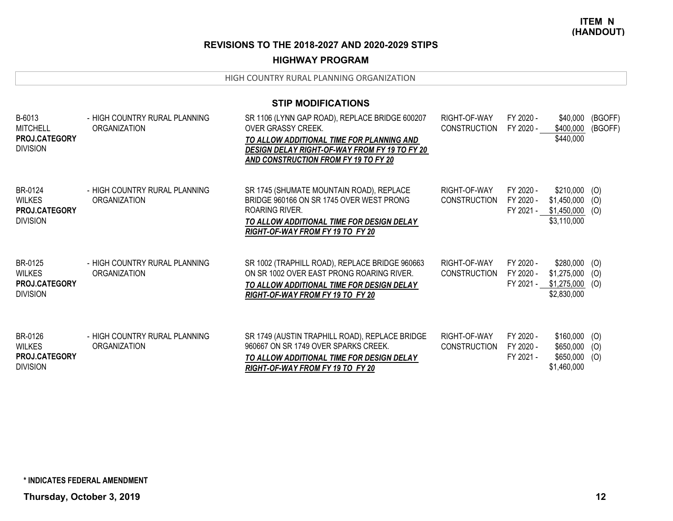## **HIGHWAY PROGRAM**

HIGH COUNTRY RURAL PLANNING ORGANIZATION

| <b>STIP MODIFICATIONS</b>                             |                                                      |                                                                                                                                                                                                                   |                                     |                                     |                                                                                 |                    |
|-------------------------------------------------------|------------------------------------------------------|-------------------------------------------------------------------------------------------------------------------------------------------------------------------------------------------------------------------|-------------------------------------|-------------------------------------|---------------------------------------------------------------------------------|--------------------|
| B-6013<br>MITCHELL<br>PROJ.CATEGORY<br>Division       | - HIGH COUNTRY RURAL PLANNING<br>ORGANIZATION        | SR 1106 (LYNN GAP ROAD), REPLACE BRIDGE 600207<br>OVER GRASSY CREEK.<br>TO ALLOW ADDITIONAL TIME FOR PLANNING AND<br><b>DESIGN DELAY RIGHT-OF-WAY FROM FY 19 TO FY 20</b><br>AND CONSTRUCTION FROM FY 19 TO FY 20 | RIGHT-OF-WAY<br><b>CONSTRUCTION</b> | FY 2020 -<br>FY 2020 -              | \$40,000<br>\$400,000<br>\$440,000                                              | (BGOFF)<br>(BGOFF) |
| BR-0124<br>WILKES<br><b>PROJ.CATEGORY</b><br>Division | - HIGH COUNTRY RURAL PLANNING<br><b>ORGANIZATION</b> | SR 1745 (SHUMATE MOUNTAIN ROAD), REPLACE<br>BRIDGE 960166 ON SR 1745 OVER WEST PRONG<br>ROARING RIVER.<br>TO ALLOW ADDITIONAL TIME FOR DESIGN DELAY<br>RIGHT-OF-WAY FROM FY 19 TO FY 20                           | RIGHT-OF-WAY<br><b>CONSTRUCTION</b> | FY 2020 -<br>FY 2020 -              | $$210,000$ (O)<br>$$1,450,000$ (O)<br>$FY 2021 - $1,450,000$ (O)<br>\$3,110,000 |                    |
| BR-0125<br>WILKES<br><b>PROJ.CATEGORY</b><br>Division | - HIGH COUNTRY RURAL PLANNING<br><b>ORGANIZATION</b> | SR 1002 (TRAPHILL ROAD), REPLACE BRIDGE 960663<br>ON SR 1002 OVER EAST PRONG ROARING RIVER.<br>TO ALLOW ADDITIONAL TIME FOR DESIGN DELAY<br>RIGHT-OF-WAY FROM FY 19 TO FY 20                                      | RIGHT-OF-WAY<br><b>CONSTRUCTION</b> | FY 2020 -<br>FY 2020 -              | $$280,000$ (O)<br>$$1,275,000$ (O)<br>FY 2021 - \$1,275,000 (O)<br>\$2,830,000  |                    |
| BR-0126<br>WILKES<br><b>PROJ.CATEGORY</b><br>Division | - HIGH COUNTRY RURAL PLANNING<br><b>ORGANIZATION</b> | SR 1749 (AUSTIN TRAPHILL ROAD), REPLACE BRIDGE<br>960667 ON SR 1749 OVER SPARKS CREEK.<br>TO ALLOW ADDITIONAL TIME FOR DESIGN DELAY<br>RIGHT-OF-WAY FROM FY 19 TO FY 20                                           | RIGHT-OF-WAY<br><b>CONSTRUCTION</b> | FY 2020 -<br>FY 2020 -<br>FY 2021 - | $$160,000$ (O)<br>\$650,000<br>$$650,000$ (O)<br>\$1,460,000                    | (O)                |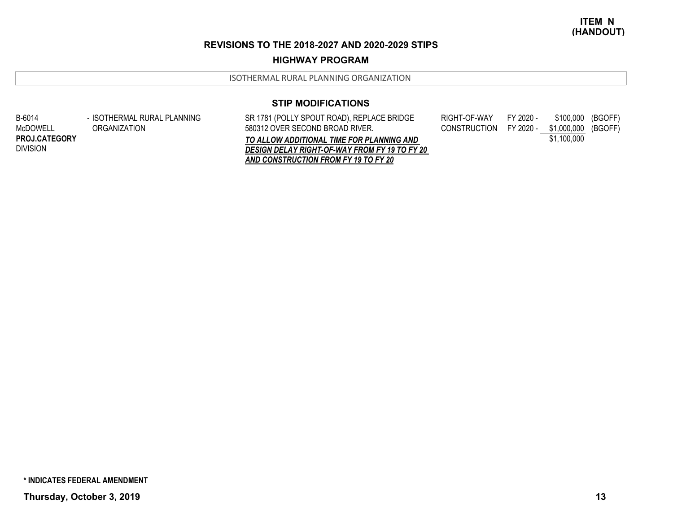#### **HIGHWAY PROGRAM**

ISOTHERMAL RURAL PLANNING ORGANIZATION

### **STIP MODIFICATIONS**

SR 1781 (POLLY SPOUT ROAD), REPLACE BRIDGE 580312 OVER SECOND BROAD RIVER.*TO ALLOW ADDITIONAL TIME FOR PLANNING AND DESIGN DELAY RIGHT-OF-WAY FROM FY 19 TO FY 20 AND CONSTRUCTION FROM FY 19 TO FY 20* RIGHT-OF-WAY FY 2020 - \$100,000 (BGOFF) CONSTRUCTION FY 2020 - \$1,000,000 (BGOFF) \$1,100,000 B-6014 McDOWELLDIVISION**PROJ.CATEGORY**- ISOTHERMAL RURAL PLANNING ORGANIZATION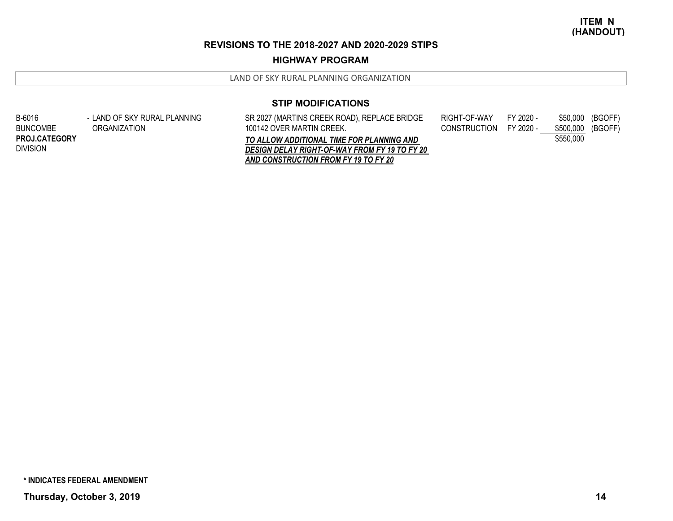#### **HIGHWAY PROGRAM**

LAND OF SKY RURAL PLANNING ORGANIZATION

### **STIP MODIFICATIONS**

SR 2027 (MARTINS CREEK ROAD), REPLACE BRIDGE 100142 OVER MARTIN CREEK.*TO ALLOW ADDITIONAL TIME FOR PLANNING AND DESIGN DELAY RIGHT-OF-WAY FROM FY 19 TO FY 20 AND CONSTRUCTION FROM FY 19 TO FY 20* RIGHT-OF-WAY FY 2020 - \$50,000 (BGOFF) CONSTRUCTION FY 2020 - \$500,000 (BGOFF) \$550,000 B-6016 BUNCOMBEDIVISION**PROJ.CATEGORY**- LAND OF SKY RURAL PLANNING ORGANIZATION

**\* INDICATES FEDERAL AMENDMENT**

**Thursday, October 3, 2019 14**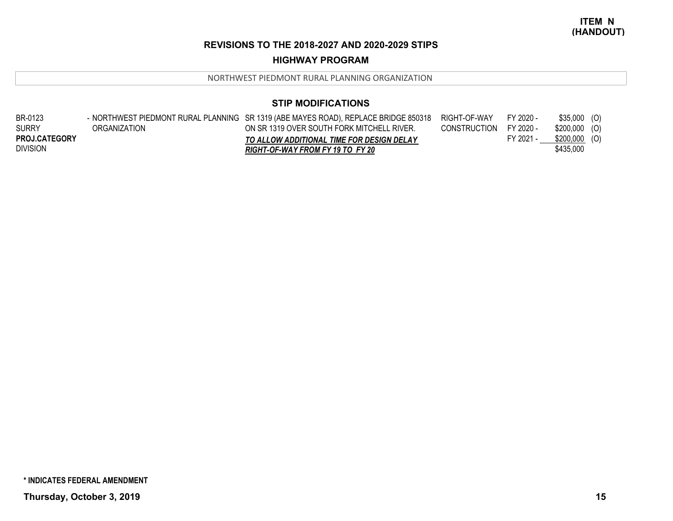## **HIGHWAY PROGRAM**

NORTHWEST PIEDMONT RURAL PLANNING ORGANIZATION

# **STIP MODIFICATIONS**

| BR-0123              |              | - NORTHWEST PIEDMONT RURAL PLANNING SR 1319 (ABE MAYES ROAD), REPLACE BRIDGE 850318 | RIGHT-OF-WAY | FY 2020 - | $$35,000$ (O)  |  |
|----------------------|--------------|-------------------------------------------------------------------------------------|--------------|-----------|----------------|--|
| <b>SURRY</b>         | ORGANIZATION | ON SR 1319 OVER SOUTH FORK MITCHELL RIVER.                                          | CONSTRUCTION | FY 2020 - | $$200,000$ (O) |  |
| <b>PROJ.CATEGORY</b> |              | TO ALLOW ADDITIONAL TIME FOR DESIGN DELAY                                           |              | FY 2021 - | \$200,000 (O)  |  |
| <b>DIVISION</b>      |              | RIGHT-OF-WAY FROM FY 19 TO FY 20                                                    |              |           | \$435,000      |  |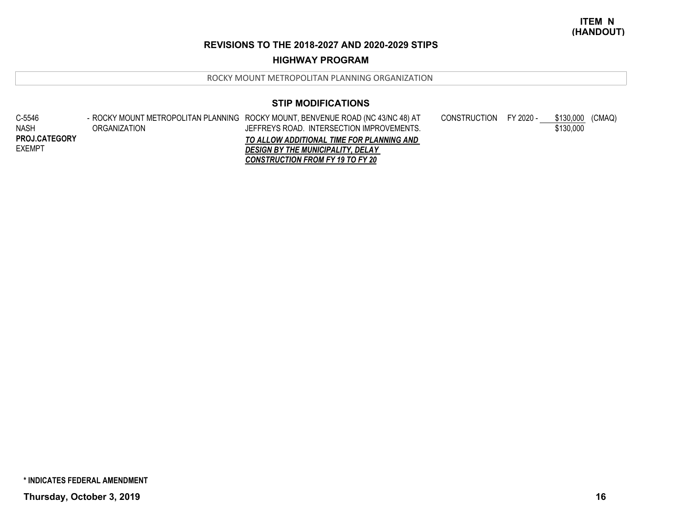## **HIGHWAY PROGRAM**

ROCKY MOUNT METROPOLITAN PLANNING ORGANIZATION

# **STIP MODIFICATIONS**

| C-5546               |              | - ROCKY MOUNT METROPOLITAN PLANNING ROCKY MOUNT, BENVENUE ROAD (NC 43/NC 48) AT | CONSTRUCTION FY 2020 - | \$130,000 (CMAQ) |
|----------------------|--------------|---------------------------------------------------------------------------------|------------------------|------------------|
| <b>NASH</b>          | ORGANIZATION | JEFFREYS ROAD. INTERSECTION IMPROVEMENTS.                                       |                        | \$130,000        |
| <b>PROJ.CATEGORY</b> |              | TO ALLOW ADDITIONAL TIME FOR PLANNING AND                                       |                        |                  |
| EXEMPT               |              | <b>DESIGN BY THE MUNICIPALITY, DELAY</b>                                        |                        |                  |
|                      |              | <b>CONSTRUCTION FROM FY 19 TO FY 20</b>                                         |                        |                  |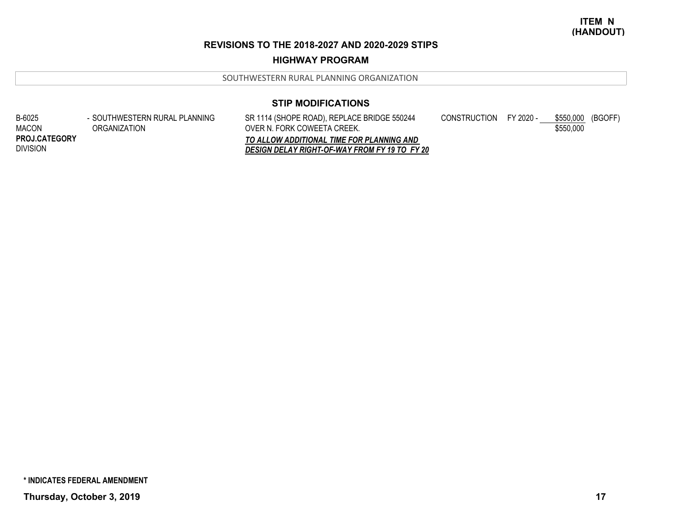### **HIGHWAY PROGRAM**

SOUTHWESTERN RURAL PLANNING ORGANIZATION

### **STIP MODIFICATIONS**

SR 1114 (SHOPE ROAD), REPLACE BRIDGE 550244 OVER N. FORK COWEETA CREEK. *TO ALLOW ADDITIONAL TIME FOR PLANNING AND DESIGN DELAY RIGHT-OF-WAY FROM FY 19 TO FY 20* CONSTRUCTION FY 2020 - \$550,000 (BGOFF) \$550,000 B-6025 MACONDIVISION**PROJ.CATEGORY**- SOUTHWESTERN RURAL PLANNING ORGANIZATION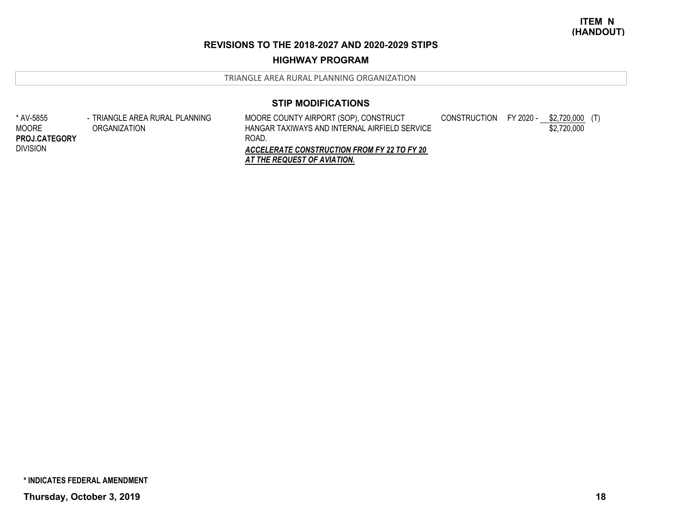### **HIGHWAY PROGRAM**

TRIANGLE AREA RURAL PLANNING ORGANIZATION

### **STIP MODIFICATIONS**

\* AV-5855 MOOREDIVISION**PROJ.CATEGORY** TRIANGLE AREA RURAL PLANNING - ORGANIZATION

MOORE COUNTY AIRPORT (SOP), CONSTRUCT HANGAR TAXIWAYS AND INTERNAL AIRFIELD SERVICE ROAD.CONSTRUCTION FY 2020 - \$2,720,000 (T) \$2,720,000

*ACCELERATE CONSTRUCTION FROM FY 22 TO FY 20 AT THE REQUEST OF AVIATION.*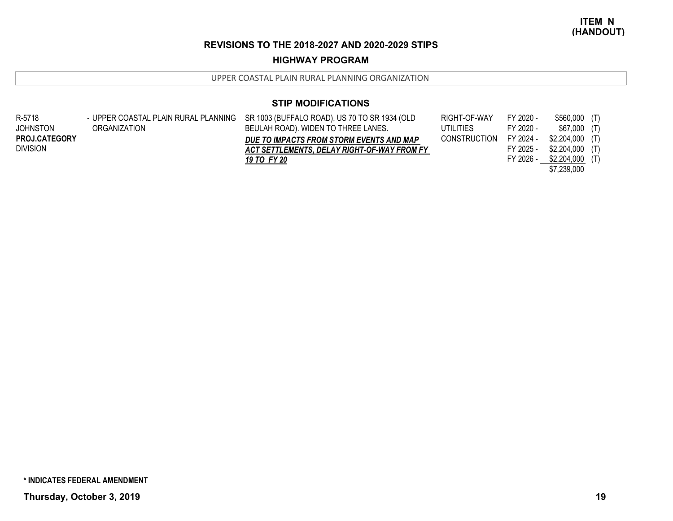## **HIGHWAY PROGRAM**

UPPER COASTAL PLAIN RURAL PLANNING ORGANIZATION

# **STIP MODIFICATIONS**

| R-5718               |              | - UPPER COASTAL PLAIN RURAL PLANNING SR 1003 (BUFFALO ROAD), US 70 TO SR 1934 (OLD | RIGHT-OF-WAY        | FY 2020 - | \$560,000 (T)    |  |
|----------------------|--------------|------------------------------------------------------------------------------------|---------------------|-----------|------------------|--|
| <b>JOHNSTON</b>      | ORGANIZATION | BEULAH ROAD). WIDEN TO THREE LANES.                                                | UTILITIES           | FY 2020 - | $$67,000$ (T)    |  |
| <b>PROJ.CATEGORY</b> |              | DUE TO IMPACTS FROM STORM EVENTS AND MAP                                           | <b>CONSTRUCTION</b> | FY 2024 - | \$2,204,000 (T)  |  |
| <b>DIVISION</b>      |              | ACT SETTLEMENTS. DELAY RIGHT-OF-WAY FROM FY                                        |                     | FY 2025 - | $$2,204,000$ (T) |  |
|                      |              | 19 TO FY 20                                                                        |                     | FY 2026 - | $$2,204,000$ (T) |  |
|                      |              |                                                                                    |                     |           | \$7,239,000      |  |